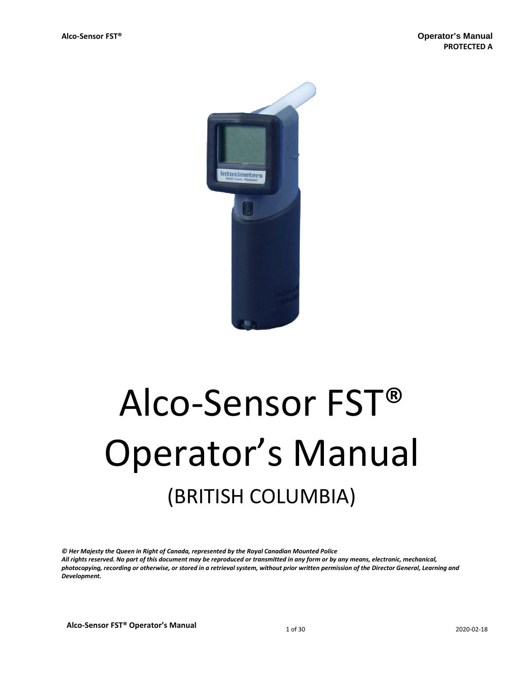

# Alco-Sensor FST® Operator's Manual (BRITISH COLUMBIA)

*© Her Majesty the Queen in Right of Canada, represented by the Royal Canadian Mounted Police All rights reserved. No part of this document may be reproduced or transmitted in any form or by any means, electronic, mechanical, photocopying, recording or otherwise, or stored in a retrieval system, without prior written permission of the Director General, Learning and Development.*

**Alco-Sensor FST® Operator's Manual 1 of 30** 2020-02-18 2020-02-18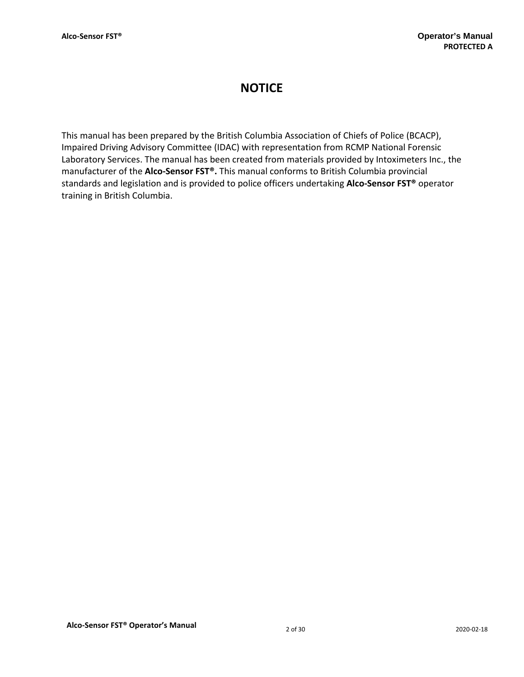## **NOTICE**

This manual has been prepared by the British Columbia Association of Chiefs of Police (BCACP), Impaired Driving Advisory Committee (IDAC) with representation from RCMP National Forensic Laboratory Services. The manual has been created from materials provided by Intoximeters Inc., the manufacturer of the **Alco-Sensor FST®.** This manual conforms to British Columbia provincial standards and legislation and is provided to police officers undertaking **Alco-Sensor FST®** operator training in British Columbia.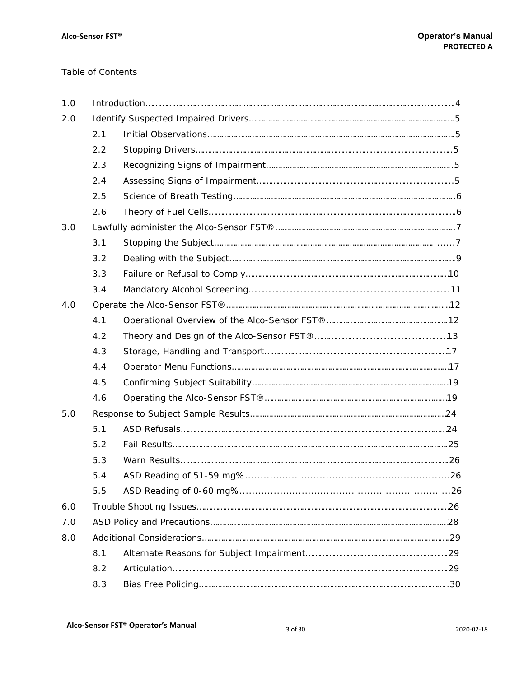## Table of Contents

| 1.0 |     |  |  |
|-----|-----|--|--|
| 2.0 |     |  |  |
|     | 2.1 |  |  |
|     | 2.2 |  |  |
|     | 2.3 |  |  |
|     | 2.4 |  |  |
|     | 2.5 |  |  |
|     | 2.6 |  |  |
| 3.0 |     |  |  |
|     | 3.1 |  |  |
|     | 3.2 |  |  |
|     | 3.3 |  |  |
|     | 3.4 |  |  |
| 4.0 |     |  |  |
|     | 4.1 |  |  |
|     | 4.2 |  |  |
|     | 4.3 |  |  |
|     | 4.4 |  |  |
|     | 4.5 |  |  |
|     | 4.6 |  |  |
| 5.0 |     |  |  |
|     | 5.1 |  |  |
|     | 5.2 |  |  |
|     | 5.3 |  |  |
|     | 5.4 |  |  |
|     | 5.5 |  |  |
| 6.0 |     |  |  |
| 7.0 |     |  |  |
| 8.0 |     |  |  |
|     | 8.1 |  |  |
|     | 8.2 |  |  |
|     | 8.3 |  |  |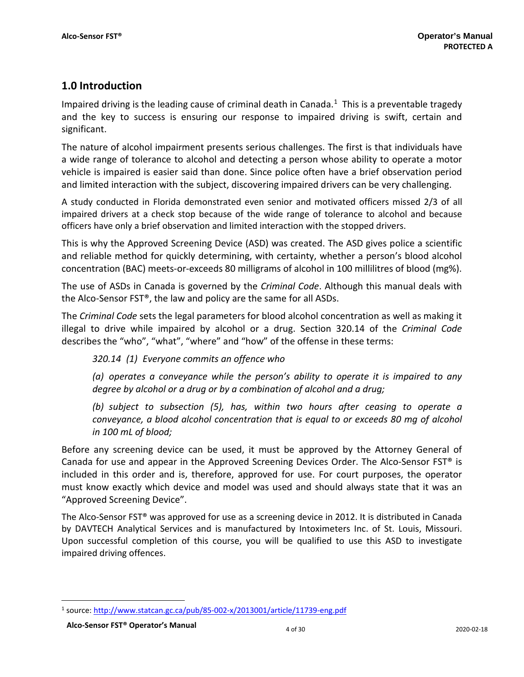## **1.0 Introduction**

Impaired driving is the leading cause of criminal death in Canada.<sup>1</sup> This is a preventable tragedy and the key to success is ensuring our response to impaired driving is swift, certain and significant.

The nature of alcohol impairment presents serious challenges. The first is that individuals have a wide range of tolerance to alcohol and detecting a person whose ability to operate a motor vehicle is impaired is easier said than done. Since police often have a brief observation period and limited interaction with the subject, discovering impaired drivers can be very challenging.

A study conducted in Florida demonstrated even senior and motivated officers missed 2/3 of all impaired drivers at a check stop because of the wide range of tolerance to alcohol and because officers have only a brief observation and limited interaction with the stopped drivers.

This is why the Approved Screening Device (ASD) was created. The ASD gives police a scientific and reliable method for quickly determining, with certainty, whether a person's blood alcohol concentration (BAC) meets-or-exceeds 80 milligrams of alcohol in 100 millilitres of blood (mg%).

The use of ASDs in Canada is governed by the *Criminal Code*. Although this manual deals with the Alco-Sensor FST®, the law and policy are the same for all ASDs.

The *Criminal Code* sets the legal parameters for blood alcohol concentration as well as making it illegal to drive while impaired by alcohol or a drug. Section 320.14 of the *Criminal Code* describes the "who", "what", "where" and "how" of the offense in these terms:

*320.14 (1) Everyone commits an offence who*

*(a) operates a conveyance while the person's ability to operate it is impaired to any degree by alcohol or a drug or by a combination of alcohol and a drug;*

*(b) subject to subsection (5), has, within two hours after ceasing to operate a conveyance, a blood alcohol concentration that is equal to or exceeds 80 mg of alcohol in 100 mL of blood;*

Before any screening device can be used, it must be approved by the Attorney General of Canada for use and appear in the Approved Screening Devices Order. The Alco-Sensor FST® is included in this order and is, therefore, approved for use. For court purposes, the operator must know exactly which device and model was used and should always state that it was an "Approved Screening Device".

The Alco-Sensor FST® was approved for use as a screening device in 2012. It is distributed in Canada by DAVTECH Analytical Services and is manufactured by Intoximeters Inc. of St. Louis, Missouri. Upon successful completion of this course, you will be qualified to use this ASD to investigate impaired driving offences.

<span id="page-3-0"></span>l <sup>1</sup> source[: http://www.statcan.gc.ca/pub/85-002-x/2013001/article/11739-eng.pdf](http://www.statcan.gc.ca/pub/85-002-x/2013001/article/11739-eng.pdf)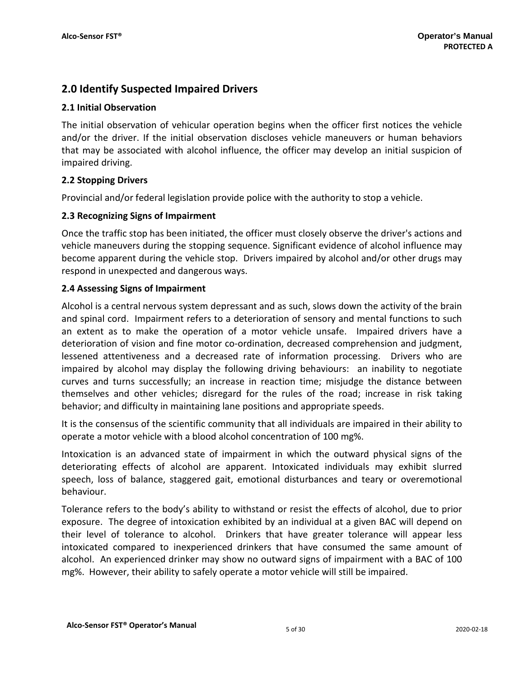## **2.0 Identify Suspected Impaired Drivers**

## **2.1 Initial Observation**

The initial observation of vehicular operation begins when the officer first notices the vehicle and/or the driver. If the initial observation discloses vehicle maneuvers or human behaviors that may be associated with alcohol influence, the officer may develop an initial suspicion of impaired driving.

## **2.2 Stopping Drivers**

Provincial and/or federal legislation provide police with the authority to stop a vehicle.

## **2.3 Recognizing Signs of Impairment**

Once the traffic stop has been initiated, the officer must closely observe the driver's actions and vehicle maneuvers during the stopping sequence. Significant evidence of alcohol influence may become apparent during the vehicle stop. Drivers impaired by alcohol and/or other drugs may respond in unexpected and dangerous ways.

## **2.4 Assessing Signs of Impairment**

Alcohol is a central nervous system depressant and as such, slows down the activity of the brain and spinal cord. Impairment refers to a deterioration of sensory and mental functions to such an extent as to make the operation of a motor vehicle unsafe. Impaired drivers have a deterioration of vision and fine motor co-ordination, decreased comprehension and judgment, lessened attentiveness and a decreased rate of information processing. Drivers who are impaired by alcohol may display the following driving behaviours: an inability to negotiate curves and turns successfully; an increase in reaction time; misjudge the distance between themselves and other vehicles; disregard for the rules of the road; increase in risk taking behavior; and difficulty in maintaining lane positions and appropriate speeds.

It is the consensus of the scientific community that all individuals are impaired in their ability to operate a motor vehicle with a blood alcohol concentration of 100 mg%.

Intoxication is an advanced state of impairment in which the outward physical signs of the deteriorating effects of alcohol are apparent. Intoxicated individuals may exhibit slurred speech, loss of balance, staggered gait, emotional disturbances and teary or overemotional behaviour.

Tolerance refers to the body's ability to withstand or resist the effects of alcohol, due to prior exposure. The degree of intoxication exhibited by an individual at a given BAC will depend on their level of tolerance to alcohol. Drinkers that have greater tolerance will appear less intoxicated compared to inexperienced drinkers that have consumed the same amount of alcohol. An experienced drinker may show no outward signs of impairment with a BAC of 100 mg%. However, their ability to safely operate a motor vehicle will still be impaired.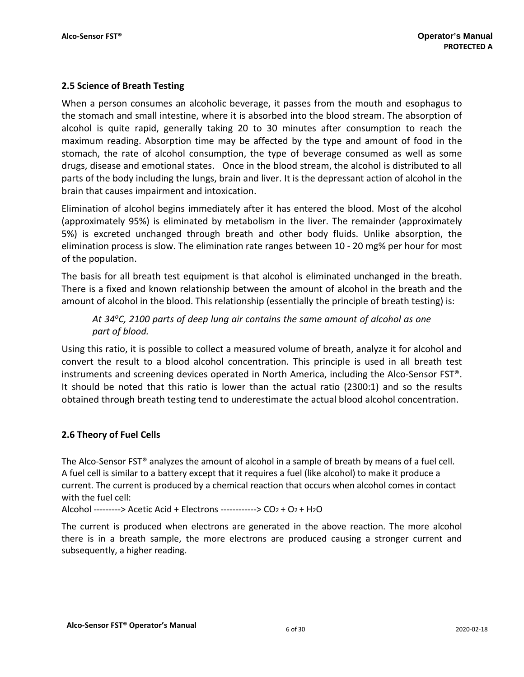## **2.5 Science of Breath Testing**

When a person consumes an alcoholic beverage, it passes from the mouth and esophagus to the stomach and small intestine, where it is absorbed into the blood stream. The absorption of alcohol is quite rapid, generally taking 20 to 30 minutes after consumption to reach the maximum reading. Absorption time may be affected by the type and amount of food in the stomach, the rate of alcohol consumption, the type of beverage consumed as well as some drugs, disease and emotional states. Once in the blood stream, the alcohol is distributed to all parts of the body including the lungs, brain and liver. It is the depressant action of alcohol in the brain that causes impairment and intoxication.

Elimination of alcohol begins immediately after it has entered the blood. Most of the alcohol (approximately 95%) is eliminated by metabolism in the liver. The remainder (approximately 5%) is excreted unchanged through breath and other body fluids. Unlike absorption, the elimination process is slow. The elimination rate ranges between 10 - 20 mg% per hour for most of the population.

The basis for all breath test equipment is that alcohol is eliminated unchanged in the breath. There is a fixed and known relationship between the amount of alcohol in the breath and the amount of alcohol in the blood. This relationship (essentially the principle of breath testing) is:

*At 34oC, 2100 parts of deep lung air contains the same amount of alcohol as one part of blood.*

Using this ratio, it is possible to collect a measured volume of breath, analyze it for alcohol and convert the result to a blood alcohol concentration. This principle is used in all breath test instruments and screening devices operated in North America, including the Alco-Sensor FST®. It should be noted that this ratio is lower than the actual ratio (2300:1) and so the results obtained through breath testing tend to underestimate the actual blood alcohol concentration.

## **2.6 Theory of Fuel Cells**

The Alco-Sensor FST® analyzes the amount of alcohol in a sample of breath by means of a fuel cell. A fuel cell is similar to a battery except that it requires a fuel (like alcohol) to make it produce a current. The current is produced by a chemical reaction that occurs when alcohol comes in contact with the fuel cell:

Alcohol ---------> Acetic Acid + Electrons ------------> CO2 + O2 + H2O

The current is produced when electrons are generated in the above reaction. The more alcohol there is in a breath sample, the more electrons are produced causing a stronger current and subsequently, a higher reading.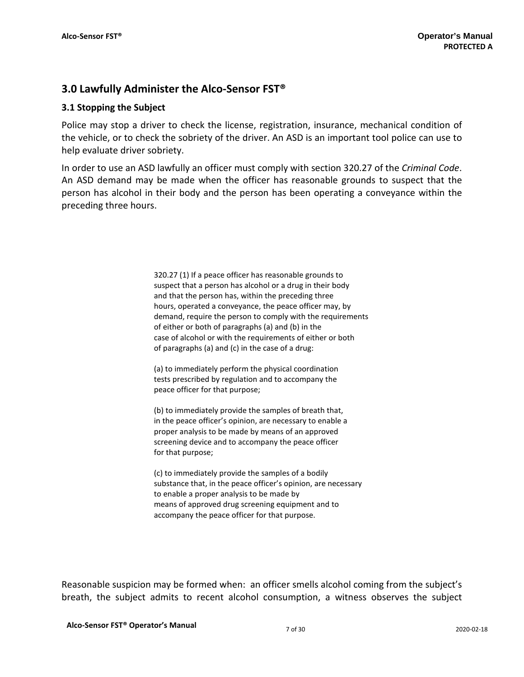## **3.0 Lawfully Administer the Alco-Sensor FST®**

## **3.1 Stopping the Subject**

Police may stop a driver to check the license, registration, insurance, mechanical condition of the vehicle, or to check the sobriety of the driver. An ASD is an important tool police can use to help evaluate driver sobriety.

In order to use an ASD lawfully an officer must comply with section 320.27 of the *Criminal Code*. An ASD demand may be made when the officer has reasonable grounds to suspect that the person has alcohol in their body and the person has been operating a conveyance within the preceding three hours.

> 320.27 (1) If a peace officer has reasonable grounds to suspect that a person has alcohol or a drug in their body and that the person has, within the preceding three hours, operated a conveyance, the peace officer may, by demand, require the person to comply with the requirements of either or both of paragraphs (a) and (b) in the case of alcohol or with the requirements of either or both of paragraphs (a) and (c) in the case of a drug:

(a) to immediately perform the physical coordination tests prescribed by regulation and to accompany the peace officer for that purpose;

(b) to immediately provide the samples of breath that, in the peace officer's opinion, are necessary to enable a proper analysis to be made by means of an approved screening device and to accompany the peace officer for that purpose;

(c) to immediately provide the samples of a bodily substance that, in the peace officer's opinion, are necessary to enable a proper analysis to be made by means of approved drug screening equipment and to accompany the peace officer for that purpose.

Reasonable suspicion may be formed when: an officer smells alcohol coming from the subject's breath, the subject admits to recent alcohol consumption, a witness observes the subject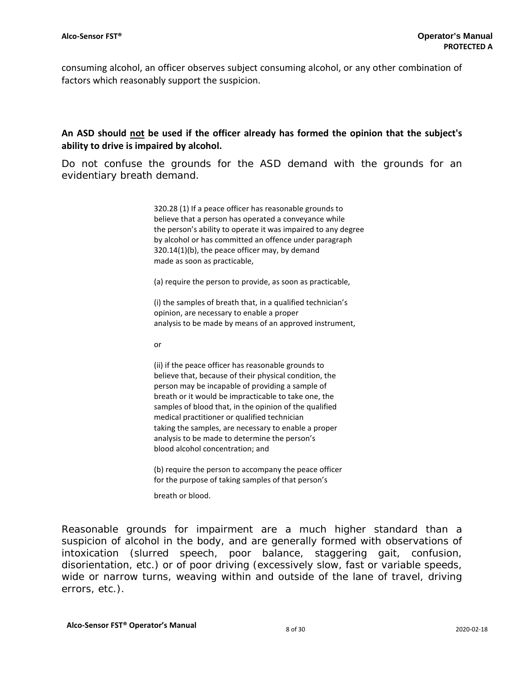consuming alcohol, an officer observes subject consuming alcohol, or any other combination of factors which reasonably support the suspicion.

## **An ASD should not be used if the officer already has formed the opinion that the subject's ability to drive is impaired by alcohol.**

Do not confuse the grounds for the ASD demand with the grounds for an evidentiary breath demand.

> 320.28 (1) If a peace officer has reasonable grounds to believe that a person has operated a conveyance while the person's ability to operate it was impaired to any degree by alcohol or has committed an offence under paragraph 320.14(1)(b), the peace officer may, by demand made as soon as practicable,

(a) require the person to provide, as soon as practicable,

(i) the samples of breath that, in a qualified technician's opinion, are necessary to enable a proper analysis to be made by means of an approved instrument,

or

(ii) if the peace officer has reasonable grounds to believe that, because of their physical condition, the person may be incapable of providing a sample of breath or it would be impracticable to take one, the samples of blood that, in the opinion of the qualified medical practitioner or qualified technician taking the samples, are necessary to enable a proper analysis to be made to determine the person's blood alcohol concentration; and

(b) require the person to accompany the peace officer for the purpose of taking samples of that person's

breath or blood.

Reasonable grounds for impairment are a much higher standard than a suspicion of alcohol in the body, and are generally formed with observations of intoxication (slurred speech, poor balance, staggering gait, confusion, disorientation, etc.) or of poor driving (excessively slow, fast or variable speeds, wide or narrow turns, weaving within and outside of the lane of travel, driving errors, etc.).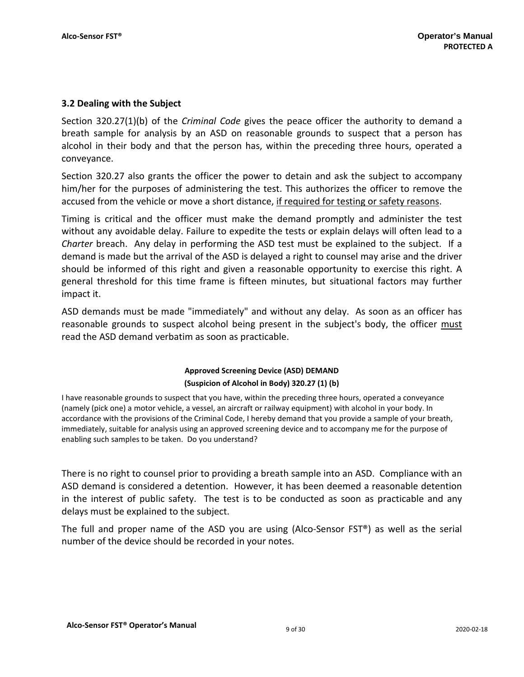## **3.2 Dealing with the Subject**

Section 320.27(1)(b) of the *Criminal Code* gives the peace officer the authority to demand a breath sample for analysis by an ASD on reasonable grounds to suspect that a person has alcohol in their body and that the person has, within the preceding three hours, operated a conveyance.

Section 320.27 also grants the officer the power to detain and ask the subject to accompany him/her for the purposes of administering the test. This authorizes the officer to remove the accused from the vehicle or move a short distance, if required for testing or safety reasons.

Timing is critical and the officer must make the demand promptly and administer the test without any avoidable delay. Failure to expedite the tests or explain delays will often lead to a *Charter* breach. Any delay in performing the ASD test must be explained to the subject. If a demand is made but the arrival of the ASD is delayed a right to counsel may arise and the driver should be informed of this right and given a reasonable opportunity to exercise this right. A general threshold for this time frame is fifteen minutes, but situational factors may further impact it.

ASD demands must be made "immediately" and without any delay. As soon as an officer has reasonable grounds to suspect alcohol being present in the subject's body, the officer must read the ASD demand verbatim as soon as practicable.

## **Approved Screening Device (ASD) DEMAND (Suspicion of Alcohol in Body) 320.27 (1) (b)**

I have reasonable grounds to suspect that you have, within the preceding three hours, operated a conveyance (namely (pick one) a motor vehicle, a vessel, an aircraft or railway equipment) with alcohol in your body. In accordance with the provisions of the Criminal Code, I hereby demand that you provide a sample of your breath, immediately, suitable for analysis using an approved screening device and to accompany me for the purpose of enabling such samples to be taken. Do you understand?

There is no right to counsel prior to providing a breath sample into an ASD. Compliance with an ASD demand is considered a detention. However, it has been deemed a reasonable detention in the interest of public safety. The test is to be conducted as soon as practicable and any delays must be explained to the subject.

The full and proper name of the ASD you are using (Alco-Sensor FST®) as well as the serial number of the device should be recorded in your notes.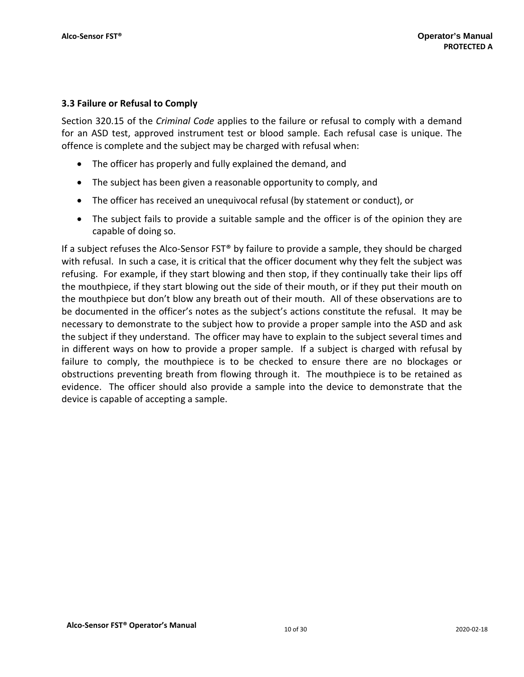## **3.3 Failure or Refusal to Comply**

Section 320.15 of the *Criminal Code* applies to the failure or refusal to comply with a demand for an ASD test, approved instrument test or blood sample. Each refusal case is unique. The offence is complete and the subject may be charged with refusal when:

- The officer has properly and fully explained the demand, and
- The subject has been given a reasonable opportunity to comply, and
- The officer has received an unequivocal refusal (by statement or conduct), or
- The subject fails to provide a suitable sample and the officer is of the opinion they are capable of doing so.

If a subject refuses the Alco-Sensor FST® by failure to provide a sample, they should be charged with refusal. In such a case, it is critical that the officer document why they felt the subject was refusing. For example, if they start blowing and then stop, if they continually take their lips off the mouthpiece, if they start blowing out the side of their mouth, or if they put their mouth on the mouthpiece but don't blow any breath out of their mouth. All of these observations are to be documented in the officer's notes as the subject's actions constitute the refusal. It may be necessary to demonstrate to the subject how to provide a proper sample into the ASD and ask the subject if they understand. The officer may have to explain to the subject several times and in different ways on how to provide a proper sample. If a subject is charged with refusal by failure to comply, the mouthpiece is to be checked to ensure there are no blockages or obstructions preventing breath from flowing through it. The mouthpiece is to be retained as evidence. The officer should also provide a sample into the device to demonstrate that the device is capable of accepting a sample.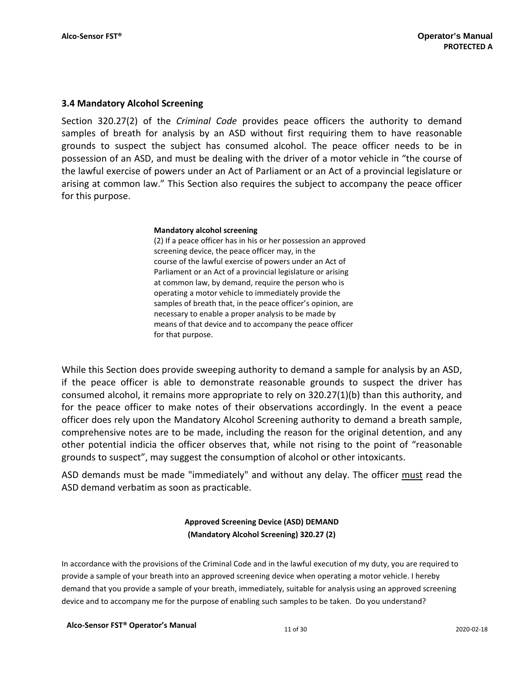## **3.4 Mandatory Alcohol Screening**

Section 320.27(2) of the *Criminal Code* provides peace officers the authority to demand samples of breath for analysis by an ASD without first requiring them to have reasonable grounds to suspect the subject has consumed alcohol. The peace officer needs to be in possession of an ASD, and must be dealing with the driver of a motor vehicle in "the course of the lawful exercise of powers under an Act of Parliament or an Act of a provincial legislature or arising at common law." This Section also requires the subject to accompany the peace officer for this purpose.

#### **Mandatory alcohol screening**

(2) If a peace officer has in his or her possession an approved screening device, the peace officer may, in the course of the lawful exercise of powers under an Act of Parliament or an Act of a provincial legislature or arising at common law, by demand, require the person who is operating a motor vehicle to immediately provide the samples of breath that, in the peace officer's opinion, are necessary to enable a proper analysis to be made by means of that device and to accompany the peace officer for that purpose.

While this Section does provide sweeping authority to demand a sample for analysis by an ASD, if the peace officer is able to demonstrate reasonable grounds to suspect the driver has consumed alcohol, it remains more appropriate to rely on 320.27(1)(b) than this authority, and for the peace officer to make notes of their observations accordingly. In the event a peace officer does rely upon the Mandatory Alcohol Screening authority to demand a breath sample, comprehensive notes are to be made, including the reason for the original detention, and any other potential indicia the officer observes that, while not rising to the point of "reasonable grounds to suspect", may suggest the consumption of alcohol or other intoxicants.

ASD demands must be made "immediately" and without any delay. The officer must read the ASD demand verbatim as soon as practicable.

## **Approved Screening Device (ASD) DEMAND (Mandatory Alcohol Screening) 320.27 (2)**

In accordance with the provisions of the Criminal Code and in the lawful execution of my duty, you are required to provide a sample of your breath into an approved screening device when operating a motor vehicle. I hereby demand that you provide a sample of your breath, immediately, suitable for analysis using an approved screening device and to accompany me for the purpose of enabling such samples to be taken. Do you understand?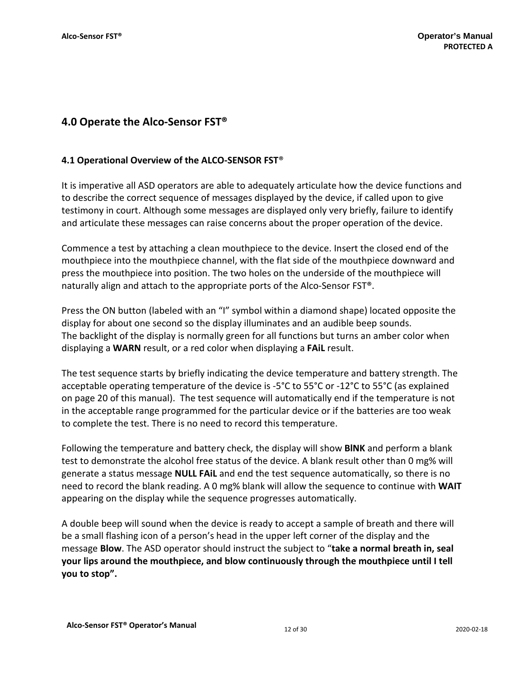## **4.0 Operate the Alco-Sensor FST®**

## **4.1 Operational Overview of the ALCO-SENSOR FST**®

It is imperative all ASD operators are able to adequately articulate how the device functions and to describe the correct sequence of messages displayed by the device, if called upon to give testimony in court. Although some messages are displayed only very briefly, failure to identify and articulate these messages can raise concerns about the proper operation of the device.

Commence a test by attaching a clean mouthpiece to the device. Insert the closed end of the mouthpiece into the mouthpiece channel, with the flat side of the mouthpiece downward and press the mouthpiece into position. The two holes on the underside of the mouthpiece will naturally align and attach to the appropriate ports of the Alco-Sensor FST®.

Press the ON button (labeled with an "I" symbol within a diamond shape) located opposite the display for about one second so the display illuminates and an audible beep sounds. The backlight of the display is normally green for all functions but turns an amber color when displaying a **WARN** result, or a red color when displaying a **FAiL** result.

The test sequence starts by briefly indicating the device temperature and battery strength. The acceptable operating temperature of the device is -5°C to 55°C or -12°C to 55°C (as explained on page 20 of this manual). The test sequence will automatically end if the temperature is not in the acceptable range programmed for the particular device or if the batteries are too weak to complete the test. There is no need to record this temperature.

Following the temperature and battery check, the display will show **BlNK** and perform a blank test to demonstrate the alcohol free status of the device. A blank result other than 0 mg% will generate a status message **NULL FAiL** and end the test sequence automatically, so there is no need to record the blank reading. A 0 mg% blank will allow the sequence to continue with **WAIT**  appearing on the display while the sequence progresses automatically.

A double beep will sound when the device is ready to accept a sample of breath and there will be a small flashing icon of a person's head in the upper left corner of the display and the message **Blow**. The ASD operator should instruct the subject to "**take a normal breath in, seal your lips around the mouthpiece, and blow continuously through the mouthpiece until I tell you to stop".**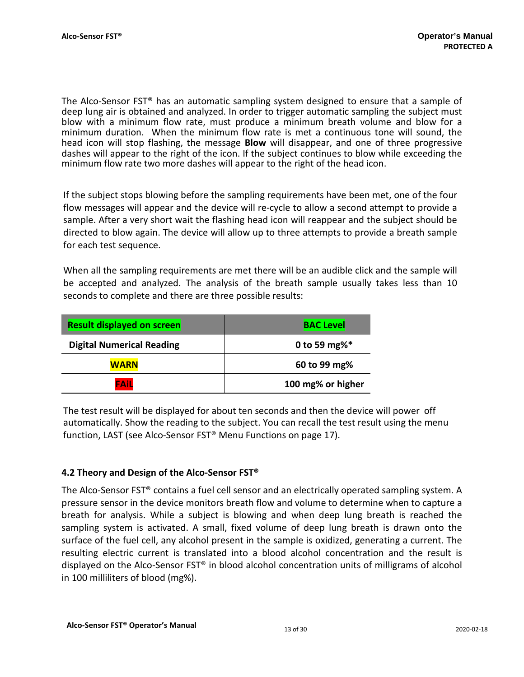The Alco-Sensor FST® has an automatic sampling system designed to ensure that a sample of deep lung air is obtained and analyzed. In order to trigger automatic sampling the subject must blow with a minimum flow rate, must produce a minimum breath volume and blow for a minimum duration. When the minimum flow rate is met a continuous tone will sound, the head icon will stop flashing, the message **Blow** will disappear, and one of three progressive dashes will appear to the right of the icon. If the subject continues to blow while exceeding the minimum flow rate two more dashes will appear to the right of the head icon.

If the subject stops blowing before the sampling requirements have been met, one of the four flow messages will appear and the device will re-cycle to allow a second attempt to provide a sample. After a very short wait the flashing head icon will reappear and the subject should be directed to blow again. The device will allow up to three attempts to provide a breath sample for each test sequence.

When all the sampling requirements are met there will be an audible click and the sample will be accepted and analyzed. The analysis of the breath sample usually takes less than 10 seconds to complete and there are three possible results:

| <b>Result displayed on screen</b> | <b>BAC Level</b>  |  |
|-----------------------------------|-------------------|--|
| <b>Digital Numerical Reading</b>  | 0 to 59 mg%*      |  |
| <b>WARN</b>                       | 60 to 99 mg%      |  |
| <b>FAIL</b>                       | 100 mg% or higher |  |

The test result will be displayed for about ten seconds and then the device will power off automatically. Show the reading to the subject. You can recall the test result using the menu function, LAST (see Alco-Sensor FST® Menu Functions on page 17).

## **4.2 Theory and Design of the Alco-Sensor FST®**

The Alco-Sensor FST® contains a fuel cell sensor and an electrically operated sampling system. A pressure sensor in the device monitors breath flow and volume to determine when to capture a breath for analysis. While a subject is blowing and when deep lung breath is reached the sampling system is activated. A small, fixed volume of deep lung breath is drawn onto the surface of the fuel cell, any alcohol present in the sample is oxidized, generating a current. The resulting electric current is translated into a blood alcohol concentration and the result is displayed on the Alco-Sensor FST® in blood alcohol concentration units of milligrams of alcohol in 100 milliliters of blood (mg%).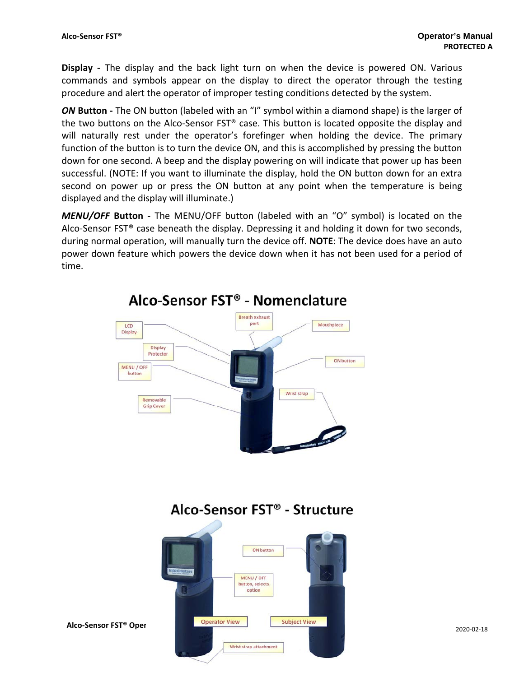**Display -** The display and the back light turn on when the device is powered ON. Various commands and symbols appear on the display to direct the operator through the testing procedure and alert the operator of improper testing conditions detected by the system.

*ON* **Button** - The ON button (labeled with an "I" symbol within a diamond shape) is the larger of the two buttons on the Alco-Sensor FST® case. This button is located opposite the display and will naturally rest under the operator's forefinger when holding the device. The primary function of the button is to turn the device ON, and this is accomplished by pressing the button down for one second. A beep and the display powering on will indicate that power up has been successful. (NOTE: If you want to illuminate the display, hold the ON button down for an extra second on power up or press the ON button at any point when the temperature is being displayed and the display will illuminate.)

*MENU/OFF* **Button -** The MENU/OFF button (labeled with an "O" symbol) is located on the Alco-Sensor  $FST^{\circ}$  case beneath the display. Depressing it and holding it down for two seconds, during normal operation, will manually turn the device off. **NOTE**: The device does have an auto power down feature which powers the device down when it has not been used for a period of time.



## Alco-Sensor FST<sup>®</sup> - Nomenclature

## Alco-Sensor FST<sup>®</sup> - Structure

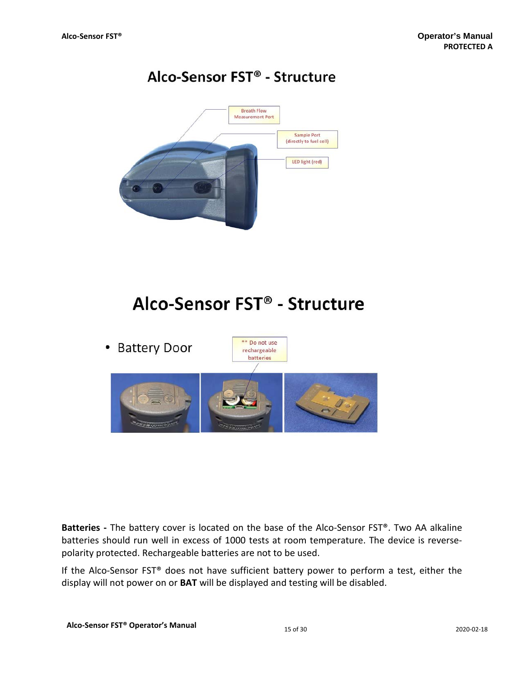## Alco-Sensor FST<sup>®</sup> - Structure



## Alco-Sensor FST<sup>®</sup> - Structure



**Batteries -** The battery cover is located on the base of the Alco-Sensor FST®. Two AA alkaline batteries should run well in excess of 1000 tests at room temperature. The device is reversepolarity protected. Rechargeable batteries are not to be used.

If the Alco-Sensor FST® does not have sufficient battery power to perform a test, either the display will not power on or **BAT** will be displayed and testing will be disabled.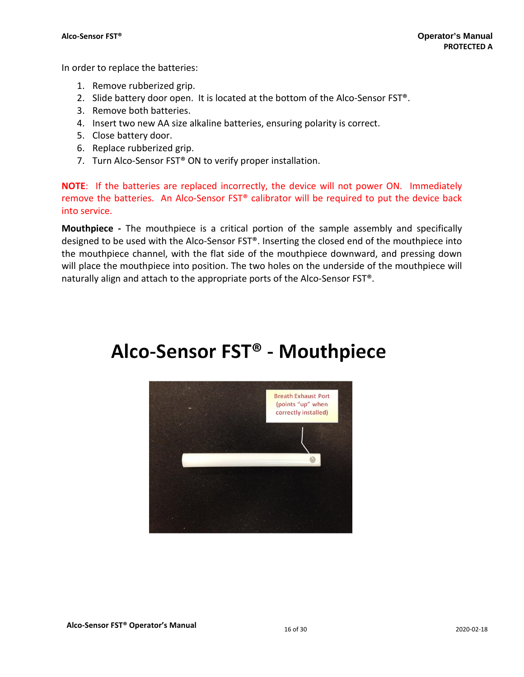In order to replace the batteries:

- 1. Remove rubberized grip.
- 2. Slide battery door open. It is located at the bottom of the Alco-Sensor FST®.
- 3. Remove both batteries.
- 4. Insert two new AA size alkaline batteries, ensuring polarity is correct.
- 5. Close battery door.
- 6. Replace rubberized grip.
- 7. Turn Alco-Sensor FST® ON to verify proper installation.

**NOTE**: If the batteries are replaced incorrectly, the device will not power ON. Immediately remove the batteries. An Alco-Sensor FST® calibrator will be required to put the device back into service.

**Mouthpiece -** The mouthpiece is a critical portion of the sample assembly and specifically designed to be used with the Alco-Sensor FST®. Inserting the closed end of the mouthpiece into the mouthpiece channel, with the flat side of the mouthpiece downward, and pressing down will place the mouthpiece into position. The two holes on the underside of the mouthpiece will naturally align and attach to the appropriate ports of the Alco-Sensor FST®.

## Alco-Sensor FST® - Mouthpiece

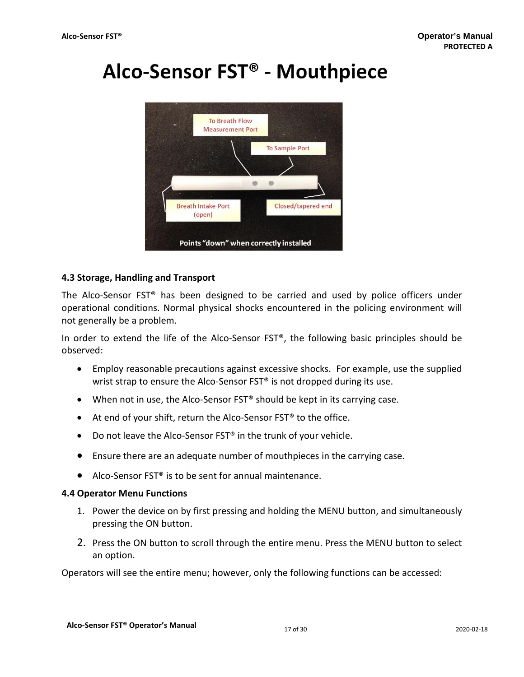## Alco-Sensor FST<sup>®</sup> - Mouthpiece



## **4.3 Storage, Handling and Transport**

The Alco-Sensor FST® has been designed to be carried and used by police officers under operational conditions. Normal physical shocks encountered in the policing environment will not generally be a problem.

In order to extend the life of the Alco-Sensor FST®, the following basic principles should be observed:

- Employ reasonable precautions against excessive shocks. For example, use the supplied wrist strap to ensure the Alco-Sensor FST<sup>®</sup> is not dropped during its use.
- When not in use, the Alco-Sensor FST<sup>®</sup> should be kept in its carrying case.
- At end of your shift, return the Alco-Sensor FST<sup>®</sup> to the office.
- Do not leave the Alco-Sensor FST<sup>®</sup> in the trunk of your vehicle.
- Ensure there are an adequate number of mouthpieces in the carrying case.
- Alco-Sensor FST® is to be sent for annual maintenance.

### **4.4 Operator Menu Functions**

- 1. Power the device on by first pressing and holding the MENU button, and simultaneously pressing the ON button.
- 2. Press the ON button to scroll through the entire menu. Press the MENU button to select an option.

Operators will see the entire menu; however, only the following functions can be accessed: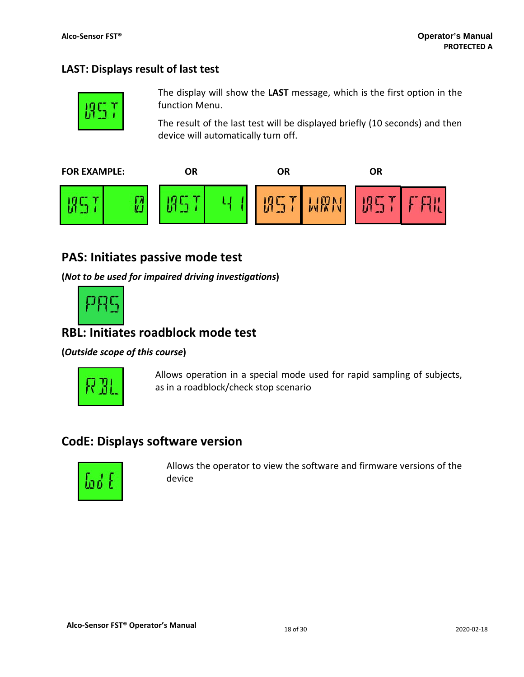## **LAST: Displays result of last test**



The display will show the **LAST** message, which is the first option in the function Menu.

The result of the last test will be displayed briefly (10 seconds) and then device will automatically turn off.



## **PAS: Initiates passive mode test**

**(***Not to be used for impaired driving investigations***)**



## **RBL: Initiates roadblock mode test**

**(***Outside scope of this course***)**



Allows operation in a special mode used for rapid sampling of subjects, as in a roadblock/check stop scenario

## **CodE: Displays software version**



Allows the operator to view the software and firmware versions of the device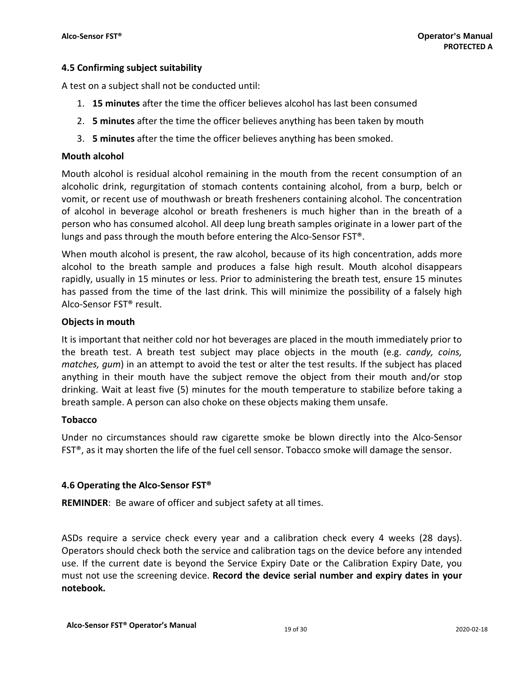## **4.5 Confirming subject suitability**

A test on a subject shall not be conducted until:

- 1. **15 minutes** after the time the officer believes alcohol has last been consumed
- 2. **5 minutes** after the time the officer believes anything has been taken by mouth
- 3. **5 minutes** after the time the officer believes anything has been smoked.

## **Mouth alcohol**

Mouth alcohol is residual alcohol remaining in the mouth from the recent consumption of an alcoholic drink, regurgitation of stomach contents containing alcohol, from a burp, belch or vomit, or recent use of mouthwash or breath fresheners containing alcohol. The concentration of alcohol in beverage alcohol or breath fresheners is much higher than in the breath of a person who has consumed alcohol. All deep lung breath samples originate in a lower part of the lungs and pass through the mouth before entering the Alco-Sensor FST®.

When mouth alcohol is present, the raw alcohol, because of its high concentration, adds more alcohol to the breath sample and produces a false high result. Mouth alcohol disappears rapidly, usually in 15 minutes or less. Prior to administering the breath test, ensure 15 minutes has passed from the time of the last drink. This will minimize the possibility of a falsely high Alco-Sensor FST® result.

### **Objects in mouth**

It is important that neither cold nor hot beverages are placed in the mouth immediately prior to the breath test. A breath test subject may place objects in the mouth (e.g. *candy, coins, matches, gum*) in an attempt to avoid the test or alter the test results. If the subject has placed anything in their mouth have the subject remove the object from their mouth and/or stop drinking. Wait at least five (5) minutes for the mouth temperature to stabilize before taking a breath sample. A person can also choke on these objects making them unsafe.

### **Tobacco**

Under no circumstances should raw cigarette smoke be blown directly into the Alco-Sensor FST®, as it may shorten the life of the fuel cell sensor. Tobacco smoke will damage the sensor.

## **4.6 Operating the Alco-Sensor FST®**

**REMINDER**: Be aware of officer and subject safety at all times.

ASDs require a service check every year and a calibration check every 4 weeks (28 days). Operators should check both the service and calibration tags on the device before any intended use. If the current date is beyond the Service Expiry Date or the Calibration Expiry Date, you must not use the screening device. **Record the device serial number and expiry dates in your notebook.**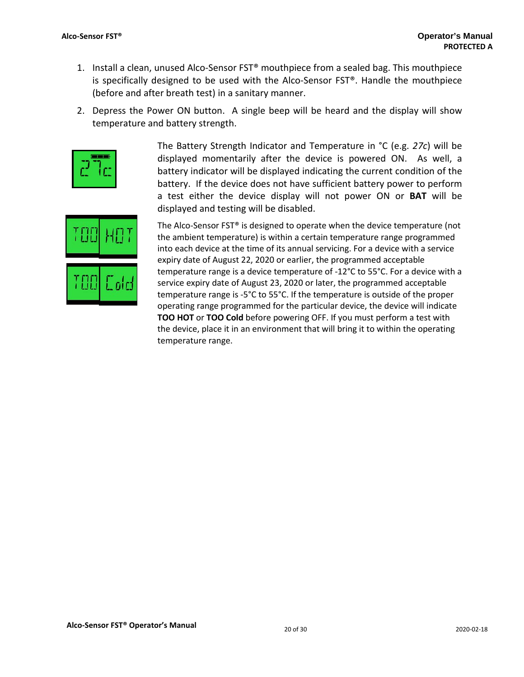- 1. Install a clean, unused Alco-Sensor FST® mouthpiece from a sealed bag. This mouthpiece is specifically designed to be used with the Alco-Sensor FST®. Handle the mouthpiece (before and after breath test) in a sanitary manner.
- 2. Depress the Power ON button. A single beep will be heard and the display will show temperature and battery strength.



The Battery Strength Indicator and Temperature in °C (e.g. *27c*) will be displayed momentarily after the device is powered ON. As well, a battery indicator will be displayed indicating the current condition of the battery. If the device does not have sufficient battery power to perform a test either the device display will not power ON or **BAT** will be displayed and testing will be disabled.



The Alco-Sensor FST® is designed to operate when the device temperature (not the ambient temperature) is within a certain temperature range programmed into each device at the time of its annual servicing. For a device with a service expiry date of August 22, 2020 or earlier, the programmed acceptable temperature range is a device temperature of -12°C to 55°C. For a device with a service expiry date of August 23, 2020 or later, the programmed acceptable temperature range is -5°C to 55°C. If the temperature is outside of the proper operating range programmed for the particular device, the device will indicate **TOO HOT** or **TOO Cold** before powering OFF. If you must perform a test with the device, place it in an environment that will bring it to within the operating temperature range.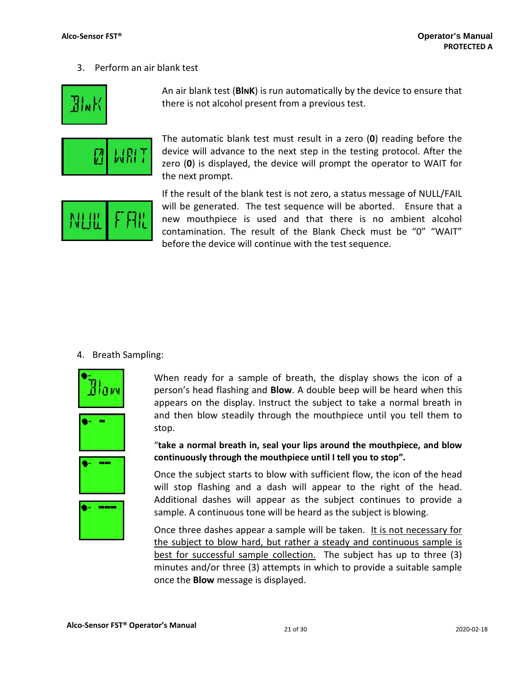3. Perform an air blank test



An air blank test (**BlNK**) is run automatically by the device to ensure that there is not alcohol present from a previous test.



The automatic blank test must result in a zero (**0**) reading before the device will advance to the next step in the testing protocol. After the zero (**0**) is displayed, the device will prompt the operator to WAIT for the next prompt.



If the result of the blank test is not zero, a status message of NULL/FAIL will be generated. The test sequence will be aborted. Ensure that a new mouthpiece is used and that there is no ambient alcohol contamination. The result of the Blank Check must be "0" "WAIT" before the device will continue with the test sequence.

## 4. Breath Sampling:



When ready for a sample of breath, the display shows the icon of a person's head flashing and **Blow**. A double beep will be heard when this appears on the display. Instruct the subject to take a normal breath in and then blow steadily through the mouthpiece until you tell them to stop.

"**take a normal breath in, seal your lips around the mouthpiece, and blow continuously through the mouthpiece until I tell you to stop".** 

Once the subject starts to blow with sufficient flow, the icon of the head will stop flashing and a dash will appear to the right of the head. Additional dashes will appear as the subject continues to provide a sample. A continuous tone will be heard as the subject is blowing.

Once three dashes appear a sample will be taken. It is not necessary for the subject to blow hard, but rather a steady and continuous sample is best for successful sample collection. The subject has up to three (3) minutes and/or three (3) attempts in which to provide a suitable sample once the **Blow** message is displayed.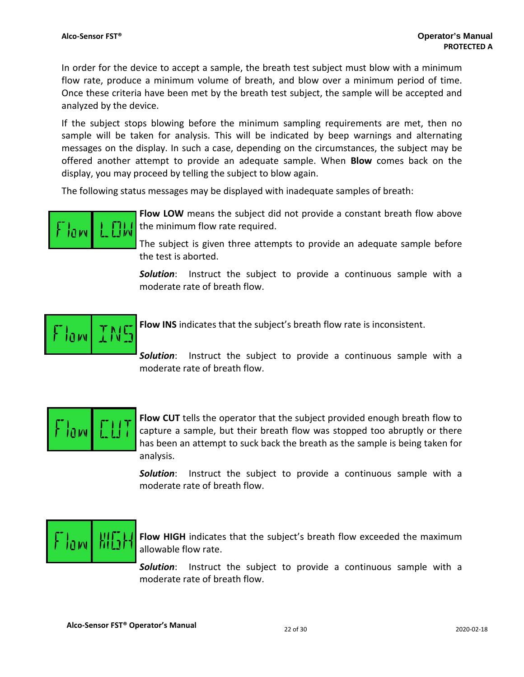In order for the device to accept a sample, the breath test subject must blow with a minimum flow rate, produce a minimum volume of breath, and blow over a minimum period of time. Once these criteria have been met by the breath test subject, the sample will be accepted and analyzed by the device.

If the subject stops blowing before the minimum sampling requirements are met, then no sample will be taken for analysis. This will be indicated by beep warnings and alternating messages on the display. In such a case, depending on the circumstances, the subject may be offered another attempt to provide an adequate sample. When **Blow** comes back on the display, you may proceed by telling the subject to blow again.

The following status messages may be displayed with inadequate samples of breath:



**Flow LOW** means the subject did not provide a constant breath flow above the minimum flow rate required.

The subject is given three attempts to provide an adequate sample before the test is aborted.

*Solution*: Instruct the subject to provide a continuous sample with a moderate rate of breath flow.

$$
\boxed{\text{Flow}}\boxed{\text{IMS}}
$$

**Flow INS** indicates that the subject's breath flow rate is inconsistent.

*Solution*: Instruct the subject to provide a continuous sample with a moderate rate of breath flow.



**Flow CUT** tells the operator that the subject provided enough breath flow to capture a sample, but their breath flow was stopped too abruptly or there has been an attempt to suck back the breath as the sample is being taken for analysis.

*Solution*: Instruct the subject to provide a continuous sample with a moderate rate of breath flow.



**Flow HIGH** indicates that the subject's breath flow exceeded the maximum allowable flow rate.

*Solution*: Instruct the subject to provide a continuous sample with a moderate rate of breath flow.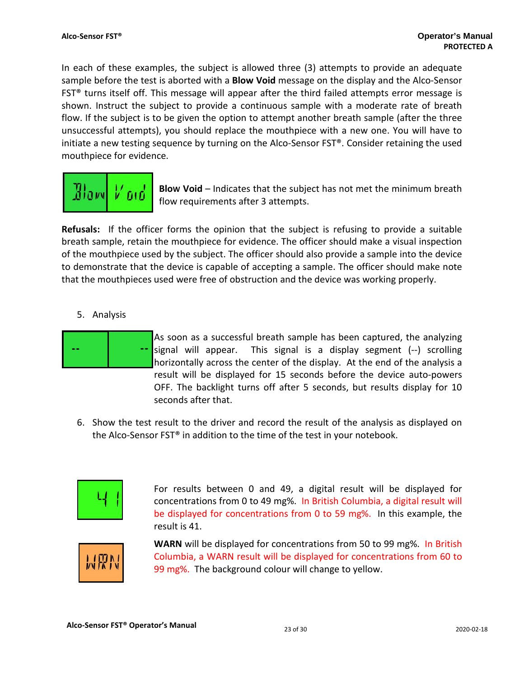In each of these examples, the subject is allowed three (3) attempts to provide an adequate sample before the test is aborted with a **Blow Void** message on the display and the Alco-Sensor FST® turns itself off. This message will appear after the third failed attempts error message is shown. Instruct the subject to provide a continuous sample with a moderate rate of breath flow. If the subject is to be given the option to attempt another breath sample (after the three unsuccessful attempts), you should replace the mouthpiece with a new one. You will have to initiate a new testing sequence by turning on the Alco-Sensor FST®. Consider retaining the used mouthpiece for evidence.



**BloW Void** – Indicates that the subject has not met the minimum breath flow requirements after 3 attempts.

**Refusals:** If the officer forms the opinion that the subject is refusing to provide a suitable breath sample, retain the mouthpiece for evidence. The officer should make a visual inspection of the mouthpiece used by the subject. The officer should also provide a sample into the device to demonstrate that the device is capable of accepting a sample. The officer should make note that the mouthpieces used were free of obstruction and the device was working properly.

## 5. Analysis



- As soon as a successful breath sample has been captured, the analyzing signal will appear. This signal is a display segment (--) scrolling horizontally across the center of the display. At the end of the analysis a result will be displayed for 15 seconds before the device auto-powers OFF. The backlight turns off after 5 seconds, but results display for 10 seconds after that.
- 6. Show the test result to the driver and record the result of the analysis as displayed on the Alco-Sensor FST® in addition to the time of the test in your notebook.



For results between 0 and 49, a digital result will be displayed for concentrations from 0 to 49 mg%. In British Columbia, a digital result will be displayed for concentrations from 0 to 59 mg%. In this example, the result is 41.



**WARN** will be displayed for concentrations from 50 to 99 mg%. In British Columbia, a WARN result will be displayed for concentrations from 60 to 99 mg%. The background colour will change to yellow.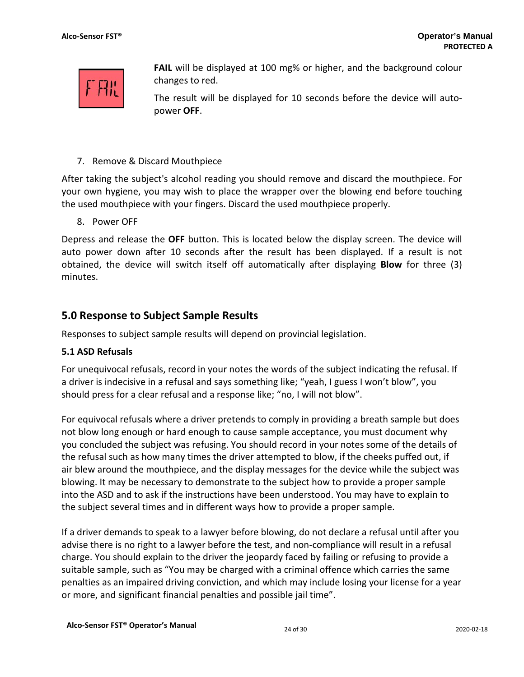

**FAIL** will be displayed at 100 mg% or higher, and the background colour changes to red.

The result will be displayed for 10 seconds before the device will autopower **OFF**.

7. Remove & Discard Mouthpiece

After taking the subject's alcohol reading you should remove and discard the mouthpiece. For your own hygiene, you may wish to place the wrapper over the blowing end before touching the used mouthpiece with your fingers. Discard the used mouthpiece properly.

8. Power OFF

Depress and release the **OFF** button. This is located below the display screen. The device will auto power down after 10 seconds after the result has been displayed. If a result is not obtained, the device will switch itself off automatically after displaying **Blow** for three (3) minutes.

## **5.0 Response to Subject Sample Results**

Responses to subject sample results will depend on provincial legislation.

## **5.1 ASD Refusals**

For unequivocal refusals, record in your notes the words of the subject indicating the refusal. If a driver is indecisive in a refusal and says something like; "yeah, I guess I won't blow", you should press for a clear refusal and a response like; "no, I will not blow".

For equivocal refusals where a driver pretends to comply in providing a breath sample but does not blow long enough or hard enough to cause sample acceptance, you must document why you concluded the subject was refusing. You should record in your notes some of the details of the refusal such as how many times the driver attempted to blow, if the cheeks puffed out, if air blew around the mouthpiece, and the display messages for the device while the subject was blowing. It may be necessary to demonstrate to the subject how to provide a proper sample into the ASD and to ask if the instructions have been understood. You may have to explain to the subject several times and in different ways how to provide a proper sample.

If a driver demands to speak to a lawyer before blowing, do not declare a refusal until after you advise there is no right to a lawyer before the test, and non-compliance will result in a refusal charge. You should explain to the driver the jeopardy faced by failing or refusing to provide a suitable sample, such as "You may be charged with a criminal offence which carries the same penalties as an impaired driving conviction, and which may include losing your license for a year or more, and significant financial penalties and possible jail time".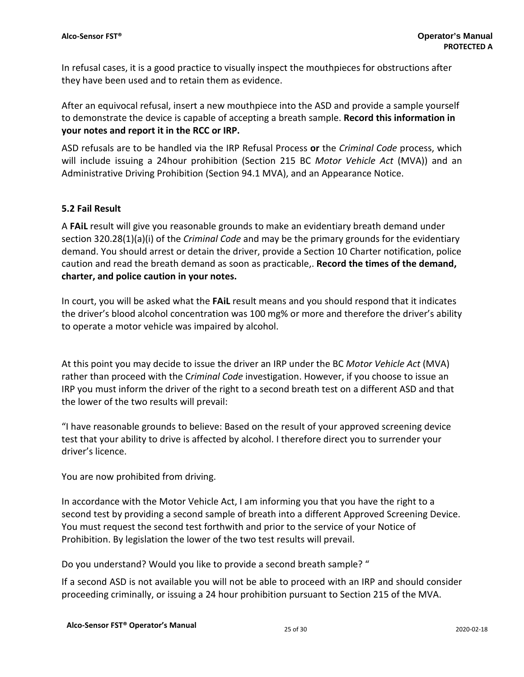In refusal cases, it is a good practice to visually inspect the mouthpieces for obstructions after they have been used and to retain them as evidence.

After an equivocal refusal, insert a new mouthpiece into the ASD and provide a sample yourself to demonstrate the device is capable of accepting a breath sample. **Record this information in your notes and report it in the RCC or IRP.** 

ASD refusals are to be handled via the IRP Refusal Process **or** the *Criminal Code* process, which will include issuing a 24hour prohibition (Section 215 BC *Motor Vehicle Act* (MVA)) and an Administrative Driving Prohibition (Section 94.1 MVA), and an Appearance Notice.

## **5.2 Fail Result**

A **FAiL** result will give you reasonable grounds to make an evidentiary breath demand under section 320.28(1)(a)(i) of the *Criminal Code* and may be the primary grounds for the evidentiary demand. You should arrest or detain the driver, provide a Section 10 Charter notification, police caution and read the breath demand as soon as practicable,. **Record the times of the demand, charter, and police caution in your notes.** 

In court, you will be asked what the **FAiL** result means and you should respond that it indicates the driver's blood alcohol concentration was 100 mg% or more and therefore the driver's ability to operate a motor vehicle was impaired by alcohol.

At this point you may decide to issue the driver an IRP under the BC *Motor Vehicle Act* (MVA) rather than proceed with the C*riminal Code* investigation. However, if you choose to issue an IRP you must inform the driver of the right to a second breath test on a different ASD and that the lower of the two results will prevail:

"I have reasonable grounds to believe: Based on the result of your approved screening device test that your ability to drive is affected by alcohol. I therefore direct you to surrender your driver's licence.

You are now prohibited from driving.

In accordance with the Motor Vehicle Act, I am informing you that you have the right to a second test by providing a second sample of breath into a different Approved Screening Device. You must request the second test forthwith and prior to the service of your Notice of Prohibition. By legislation the lower of the two test results will prevail.

Do you understand? Would you like to provide a second breath sample? "

If a second ASD is not available you will not be able to proceed with an IRP and should consider proceeding criminally, or issuing a 24 hour prohibition pursuant to Section 215 of the MVA.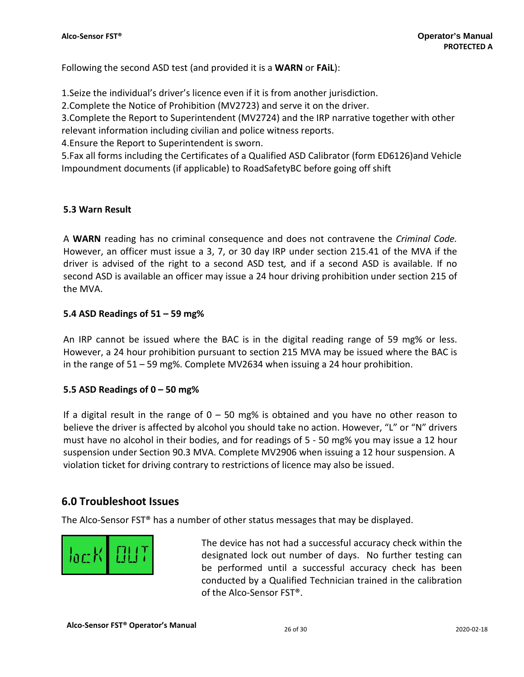Following the second ASD test (and provided it is a **WARN** or **FAiL**):

1.Seize the individual's driver's licence even if it is from another jurisdiction.

2.Complete the Notice of Prohibition (MV2723) and serve it on the driver.

3.Complete the Report to Superintendent (MV2724) and the IRP narrative together with other relevant information including civilian and police witness reports.

4.Ensure the Report to Superintendent is sworn.

5.Fax all forms including the Certificates of a Qualified ASD Calibrator (form ED6126)and Vehicle Impoundment documents (if applicable) to RoadSafetyBC before going off shift

## **5.3 Warn Result**

A **WARN** reading has no criminal consequence and does not contravene the *Criminal Code.*  However, an officer must issue a 3, 7, or 30 day IRP under section 215.41 of the MVA if the driver is advised of the right to a second ASD test*,* and if a second ASD is available. If no second ASD is available an officer may issue a 24 hour driving prohibition under section 215 of the MVA.

## **5.4 ASD Readings of 51 – 59 mg%**

An IRP cannot be issued where the BAC is in the digital reading range of 59 mg% or less. However, a 24 hour prohibition pursuant to section 215 MVA may be issued where the BAC is in the range of 51 – 59 mg%. Complete MV2634 when issuing a 24 hour prohibition.

## **5.5 ASD Readings of 0 – 50 mg%**

If a digital result in the range of  $0 - 50$  mg% is obtained and you have no other reason to believe the driver is affected by alcohol you should take no action. However, "L" or "N" drivers must have no alcohol in their bodies, and for readings of 5 - 50 mg% you may issue a 12 hour suspension under Section 90.3 MVA. Complete MV2906 when issuing a 12 hour suspension. A violation ticket for driving contrary to restrictions of licence may also be issued.

## **6.0 Troubleshoot Issues**

The Alco-Sensor FST® has a number of other status messages that may be displayed.



The device has not had a successful accuracy check within the designated lock out number of days. No further testing can be performed until a successful accuracy check has been conducted by a Qualified Technician trained in the calibration of the Alco-Sensor FST®.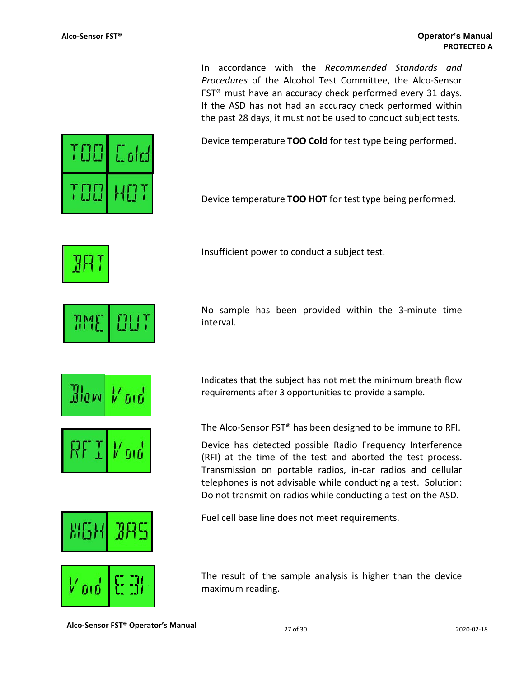In accordance with the *Recommended Standards and Procedures* of the Alcohol Test Committee, the Alco-Sensor FST® must have an accuracy check performed every 31 days. If the ASD has not had an accuracy check performed within the past 28 days, it must not be used to conduct subject tests.

Device temperature **TOO Cold** for test type being performed.

Device temperature **TOO HOT** for test type being performed.

Insufficient power to conduct a subject test.

No sample has been provided within the 3-minute time interval.

Indicates that the subject has not met the minimum breath flow requirements after 3 opportunities to provide a sample.

The Alco-Sensor FST® has been designed to be immune to RFI.

Device has detected possible Radio Frequency Interference (RFI) at the time of the test and aborted the test process. Transmission on portable radios, in-car radios and cellular telephones is not advisable while conducting a test. Solution: Do not transmit on radios while conducting a test on the ASD.

The result of the sample analysis is higher than the device maximum reading.

**Alco-Sensor FST<sup>®</sup> Operator's Manual 27 of 30** 2020-02-18 2020-02-18

l⁄ ord



L olo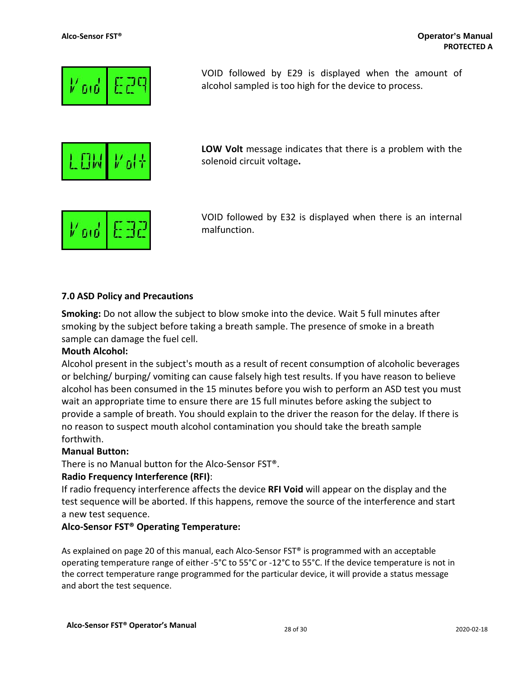

VOID followed by E29 is displayed when the amount of alcohol sampled is too high for the device to process.

**LOW Volt** message indicates that there is a problem with the solenoid circuit voltage**.**



VOID followed by E32 is displayed when there is an internal malfunction.

## **7.0 ASD Policy and Precautions**

**Smoking:** Do not allow the subject to blow smoke into the device. Wait 5 full minutes after smoking by the subject before taking a breath sample. The presence of smoke in a breath sample can damage the fuel cell.

## **Mouth Alcohol:**

Alcohol present in the subject's mouth as a result of recent consumption of alcoholic beverages or belching/ burping/ vomiting can cause falsely high test results. If you have reason to believe alcohol has been consumed in the 15 minutes before you wish to perform an ASD test you must wait an appropriate time to ensure there are 15 full minutes before asking the subject to provide a sample of breath. You should explain to the driver the reason for the delay. If there is no reason to suspect mouth alcohol contamination you should take the breath sample forthwith.

### **Manual Button:**

There is no Manual button for the Alco-Sensor FST®.

### **Radio Frequency Interference (RFI)**:

If radio frequency interference affects the device **RFI Void** will appear on the display and the test sequence will be aborted. If this happens, remove the source of the interference and start a new test sequence.

### **Alco-Sensor FST® Operating Temperature:**

As explained on page 20 of this manual, each Alco-Sensor FST® is programmed with an acceptable operating temperature range of either -5°C to 55°C or -12°C to 55°C. If the device temperature is not in the correct temperature range programmed for the particular device, it will provide a status message and abort the test sequence.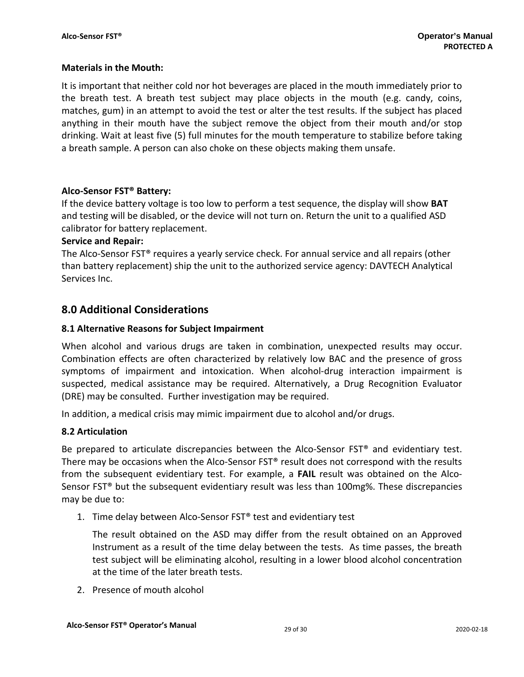## **Materials in the Mouth:**

It is important that neither cold nor hot beverages are placed in the mouth immediately prior to the breath test. A breath test subject may place objects in the mouth (e.g. candy, coins, matches, gum) in an attempt to avoid the test or alter the test results. If the subject has placed anything in their mouth have the subject remove the object from their mouth and/or stop drinking. Wait at least five (5) full minutes for the mouth temperature to stabilize before taking a breath sample. A person can also choke on these objects making them unsafe.

## **Alco-Sensor FST® Battery:**

If the device battery voltage is too low to perform a test sequence, the display will show **BAT**  and testing will be disabled, or the device will not turn on. Return the unit to a qualified ASD calibrator for battery replacement.

## **Service and Repair:**

The Alco-Sensor FST® requires a yearly service check. For annual service and all repairs (other than battery replacement) ship the unit to the authorized service agency: DAVTECH Analytical Services Inc.

## **8.0 Additional Considerations**

## **8.1 Alternative Reasons for Subject Impairment**

When alcohol and various drugs are taken in combination, unexpected results may occur. Combination effects are often characterized by relatively low BAC and the presence of gross symptoms of impairment and intoxication. When alcohol-drug interaction impairment is suspected, medical assistance may be required. Alternatively, a Drug Recognition Evaluator (DRE) may be consulted. Further investigation may be required.

In addition, a medical crisis may mimic impairment due to alcohol and/or drugs.

### **8.2 Articulation**

Be prepared to articulate discrepancies between the Alco-Sensor FST® and evidentiary test. There may be occasions when the Alco-Sensor FST® result does not correspond with the results from the subsequent evidentiary test. For example, a **FAIL** result was obtained on the Alco-Sensor FST® but the subsequent evidentiary result was less than 100mg%. These discrepancies may be due to:

1. Time delay between Alco-Sensor FST® test and evidentiary test

The result obtained on the ASD may differ from the result obtained on an Approved Instrument as a result of the time delay between the tests. As time passes, the breath test subject will be eliminating alcohol, resulting in a lower blood alcohol concentration at the time of the later breath tests.

2. Presence of mouth alcohol